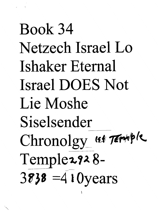## Book 34 . Netzech Israel Lo Ishaker Eternal Israel DOES Not Lie Moshe Siselsender Chronolgy\_ (st Terrible Temple 2928- $38$ <sup>38</sup> =4 $10$  years

1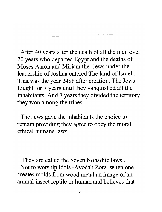After 40 years after the death of all the men over 20 years who departed Egypt and the deaths of Moses Aaron and Miriam the Jews under the leadership of Joshua entered The land of Israel . That was the year 2488 after creation. The Jews fought for 7 years until they vanquished all the inhabitants. And 7 years they divided the territory they won among the tribes.

-<br>-- - -- - - - - -

------ -

The Jews gave the inhabitants the choice to remain providing they agree to obey the moral ethical humane laws.

They are called the Seven Nohadite laws. Not to worship idols -Avodah Zora when one creates molds from wood metal an image of an animal insect reptile or human and believes that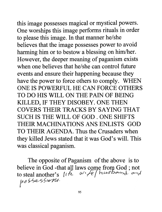this image possesses magical or mystical powers. One worships this image performs rituals in order to please this image. In that manner he/she believes that the image possesses power to avoid harming him or to bestow a blessing on him/her. However, the deeper meaning of paganism exists when one believes that he/she can control future events and ensure their happening because they have the power to force others to comply. WHEN ONE IS POWERFUL HE CAN FORCE OTHERS TO DO HIS WILL ON THE PAIN OF BEING KILLED, IF THEY DISOBEY. ONE THEN COVERS THEIR TRACKS BY SAYING THAT SUCH IS THE WILL OF GOD. ONE SHIFTS THEIR MACHINATIONS ANS ENLISTS GOD TO THEIR AGENDA. Thus the Crusaders when they killed Jews stated that it was God's will. This was classical paganism.

The opposite of Paganism of the above is to believe in God -that all laws come from God; not<br>to steal another's  $\iota/\sqrt{e}$  / husbership and  $p095e556W$ .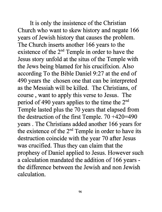It is only the insistence of the Christian Church who want to skew history and negate 166 years of Jewish history that causes the problem. The Church inserts another 166 years to the existence of the  $2<sup>nd</sup>$  Temple in order to have the Jesus story unfold at the situs of the Temple with the Jews being blamed for his crucifixion. Also according To the Bible Daniel 9:27 at the end of 490 years the chosen one that can be interpreted as the Messiah will be killed. The Christians, of course, want to apply this verse to Jesus. The period of 490 years applies to the time the 2<sup>nd</sup> Temple lasted plus the 70 years that elapsed from the destruction of the first Temple.  $70 +420=490$ years . The Christians added another 166 years for the existence of the  $2<sup>nd</sup>$  Temple in order to have its destruction coincide with the year 70 after Jesus was crucified. Thus they can claim that the prophesy of Daniel applied to Jesus. However such a calculation mandated the addition of 166 years the difference between the Jewish and non Jewish calculation.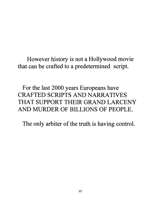However history is not a Hollywood movie that can be crafted to a predetermined script.

For the last 2000 years Europeans have CRAFTED SCRIPTS AND NARRATIVES THAT SUPPORT THEIR GRAND LARCENY AND MURDER OF BILLIONS OF PEOPLE.

The only arbiter of the truth is having control.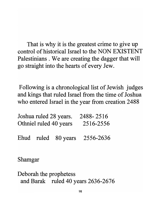That is why it is the greatest crime to give up control of historical Israel to the NON EXISTENT Palestinians . We are creating the dagger that will go straight into the hearts of every Jew.

Following is a chronological list of Jewish judges and kings that ruled Israel from the time of Joshua who entered Israel in the year from creation 2488

|  | Joshua ruled 28 years. 2488-2516 |                                         |
|--|----------------------------------|-----------------------------------------|
|  | Othniel ruled 40 years           | 2516-2556                               |
|  |                                  | Ehud ruled $80 \text{ years}$ 2556-2636 |

Shamgar

Deborah the prophetess and Barak ruled 40 years 2636-2676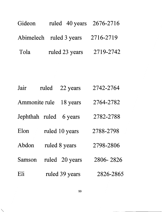| Gideon | ruled 40 years 2676-2716 |           |
|--------|--------------------------|-----------|
|        | Abimelech ruled 3 years  | 2716-2719 |
| Tola   | ruled 23 years           | 2719-2742 |
|        |                          |           |

| Jair           | ruled | 22 years       | 2742-2764 |
|----------------|-------|----------------|-----------|
| Ammonite rule  |       | 18 years       | 2764-2782 |
| Jephthah ruled |       | 6 years        | 2782-2788 |
| Elon           |       | ruled 10 years | 2788-2798 |
| Abdon          |       | ruled 8 years  | 2798-2806 |
| Samson         |       | ruled 20 years | 2806-2826 |
| Eli            |       | ruled 39 years | 2826-2865 |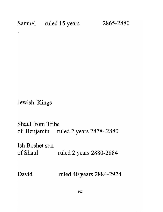Samuel ruled 15 years 2865-2880

Jewish Kings

Shaul from Tribe of Benjamin ruled 2 years 2878- 2880

Ish Boshet son of Shaul ruled 2 years 2880-2884

David ruled 40 years 2884-2924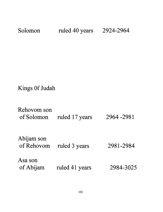| Solomon                                | ruled 40 years | 2924-2964 |
|----------------------------------------|----------------|-----------|
|                                        |                |           |
|                                        |                |           |
|                                        |                |           |
| Kings Of Judah                         |                |           |
| Rehovom son<br>of Solomon              | ruled 17 years | 2964-2981 |
| Abijam son<br>of Rehovom ruled 3 years |                | 2981-2984 |
| Asa son<br>of Abijam                   | ruled 41 years | 2984-3025 |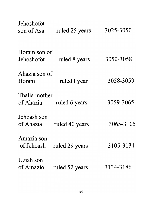| Jehoshofot               |                |           |
|--------------------------|----------------|-----------|
| son of Asa               | ruled 25 years | 3025-3050 |
|                          |                |           |
| Horam son of             |                |           |
| Jehoshofot               | ruled 8 years  | 3050-3058 |
| Ahazia son of            |                |           |
| Horam                    | ruled I year   | 3058-3059 |
| Thalia mother            |                |           |
| of Ahazia                | ruled 6 years  | 3059-3065 |
| Jehoash son              |                |           |
| of Ahazia                | ruled 40 years | 3065-3105 |
|                          |                |           |
| Amazia son<br>of Jehoash | ruled 29 years | 3105-3134 |
|                          |                |           |
| Uziah son                |                |           |
| of Amazio                | ruled 52 years | 3134-3186 |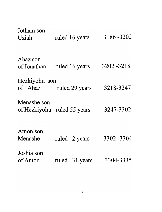| Jotham son                  |                |             |
|-----------------------------|----------------|-------------|
| Uziah                       | ruled 16 years | 3186 - 3202 |
| Ahaz son                    |                |             |
| of Jonathan                 | ruled 16 years | 3202 - 3218 |
| Hezkiyohu son               |                |             |
| of Ahaz                     | ruled 29 years | 3218-3247   |
| Menashe son                 |                |             |
| of Hezkiyohu ruled 55 years |                | 3247-3302   |
|                             |                |             |
| Amon son                    |                |             |
| Menashe                     | ruled 2 years  | 3302 -3304  |
| Joshia son                  |                |             |
| of Amon                     | ruled 31 years | 3304-3335   |
|                             |                |             |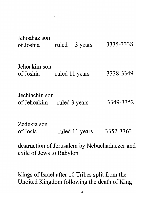| Jehoahaz son<br>of Joshia     | 3 years<br>ruled | 3335-3338 |
|-------------------------------|------------------|-----------|
| Jehoakim son<br>of Joshia     | ruled 11 years   | 3338-3349 |
| Jechiachin son<br>of Jehoakim | ruled 3 years    | 3349-3352 |
| Zedekia son<br>of Josia       | ruled 11 years   | 3352-3363 |

destruction of Jerusalem by Nebuchadnezer and exile of Jews to Babylon

Kings of Israel after 10 Tribes split from the Unoited Kingdom following the death of King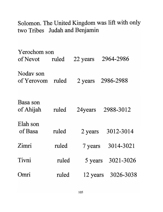Solomon. The United Kingdom was lift with only two Tribes Judah and Benjamin

| Yerochom son            |       |         |                    |
|-------------------------|-------|---------|--------------------|
| of Nevot                | ruled |         | 22 years 2964-2986 |
| Noday son<br>of Yerovom | ruled |         | 2 years 2986-2988  |
| Basa son<br>of Ahijah   | ruled |         | 24 years 2988-3012 |
| Elah son<br>of Basa     | ruled | 2 years | 3012-3014          |
| Zimri                   | ruled |         | 7 years 3014-3021  |
| Tivni                   | ruled | 5 years | 3021-3026          |
| mri                     | ruled |         | 12 years 3026-3038 |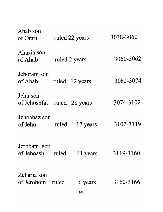| Ahab son<br>of Omri                     |               | ruled 22 years | 3038-3060 |
|-----------------------------------------|---------------|----------------|-----------|
| Ahazia son<br>of Ahab                   | ruled 2 years |                | 3060-3062 |
| Jehoram son<br>of Ahab                  |               | ruled 12 years | 3062-3074 |
| Jehu son<br>of Jehoshfat ruled 28 years |               |                | 3074-3102 |
| Jehoahaz son<br>of Jehu                 | ruled         | 17 years       | 3102-3119 |
| Jerobam<br>son<br>of Jehoash            | ruled         | 41 years       | 3119-3160 |
| Zeharia son<br>of Jerobom               | ruled         | 6 years<br>106 | 3160-3166 |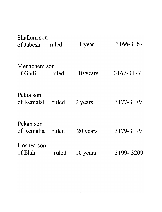| Shallum son<br>of Jabesh | ruled | 1 year   | 3166-3167 |
|--------------------------|-------|----------|-----------|
| Menachem son<br>of Gadi  | ruled | 10 years | 3167-3177 |
| Pekia son<br>of Remalal  | ruled | 2 years  | 3177-3179 |
| Pekah son<br>of Remalia  | ruled | 20 years | 3179-3199 |
| Hoshea son<br>of Elah    | ruled | 10 years | 3199-3209 |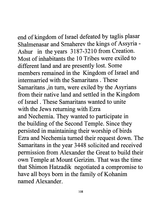## end of kingdom of Israel defeated by taglis plasar

Shalmenasar and Srnaherev the kings of Assyria - Ashur in the years 3187-3210 from Creation. Most of inhabitants the 10 Tribes were exiled to different land and are presently lost. Some members remained in the Kingdom of Israel and intermarried with the Samaritans. These Samaritans ,in tum, were exiled by the Asyrians from their native land and settled in the Kingdom of Israel. These Samaritans wanted to unite with the Jews returning with Ezra and Nechemia. They wanted to participate in the building of the Second Temple. Since they persisted in maintaining their worship of birds Ezra and Nechemia turned their request down. The Samaritans in the year 3448 solicited and received permission from Alexander the Great to build their own Temple at Mount Gerizim. That was the time that Shimon Hatzadik negotiated a compromise to have all boys born in the family of Kohanim named Alexander.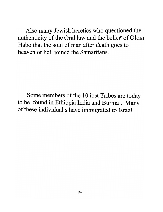Also many Jewish heretics who questioned the authenticity of the Oral law and the belief of Olom Habo that the soul of man after death goes to heaven or hell joined the Samaritans.

Some members of the 10 lost Tribes are today to be found in Ethiopia India and Burma. Many of these individual s have immigrated to Israel.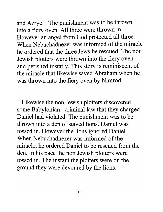and Azrye. . The punishment was to be thrown into a fiery oven. All three were thrown in. However an angel from God protected all three. When Nebuchadnezer was informed of the miracle he ordered that the three Jews be rescued. The non Jewish plotters were thrown into the fiery oven and perished instatly. This story is reminiscent of the miracle that likewise saved Abraham when he was thrown into the fiery oven by Nimrod.

Likewise the non Jewish plotters discovered some Babylonian criminal law that they charged Daniel had violated. The punishment was to be thrown into a den of staved lions. Daniel was tossed in. However the lions ignored Daniel . When Nebuchadnezer was informed of the miracle, he ordered Daniel to be rescued from the den. In his pace the non Jewish plotters were tossed in. The instant the plotters were on the ground they were devoured by the lions.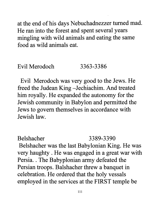at the end of his days Nebuchadnezzer turned mad. He ran into the forest and spent several years mingling with wild animals and eating the same food as wild animals eat.

## Evil Merodoch 3363-3386

Evil Merodoch was very good to the Jews. He freed the Judean King -Jechiachim. And treated him royally. He expanded the autonomy for the Jewish community in Babylon and permitted the Jews to govern themselves in accordance with Jewish law.

Belshacher 3389-3390 Belshacher was the last Babylonian King. He was very haughty . He was engaged in a great war with Persia. . The Babyplonian army defeated the Persian troops. Balshacher threw a banquet in celebration. He ordered that the holy vessals employed in the services at the FIRST temple be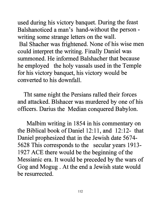used during his victory banquet. During the feast Balshanoticed a man's hand-without the personwriting some strange letters on the wall. Bal Shacher was frightened. None of his wise men could interpret the writing. Finally Daniel was summoned. He informed Balshacher that because he employed the holy vassals used in the Temple for his victory banquet, his victory would be converted to his downfall.

Tht same night the Persians raIled their forces and attacked. Blshacer was murdered by one of his officers. Darius the Median conquered Babylon.

Malbim writing in 1854 in his commentary on the Biblical book of Daniel 12:11, and 12:12- that Daniel prophesized that in the Jewish date 5674- 5628 This corresponds to the secular years 1913- 1927 ACE there would be the beginning of the Messianic era. It would be preceded by the wars of Gog and Mogug . At the end a Jewish state would be resurrected.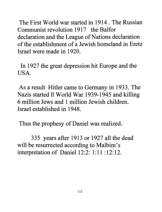The First World war started in 1914 . The Russian Communist revolution 1917 the Balfor declaration and the League of Nations declaration of the establishment of a Jewish homeland in Eretz Israel were made in 1920.

In 1927 the great depression hit Europe and the USA.

As a result Hitler came to Germany in 1933. The Nazis started 11 World War 1939-1945 and killing 6 million Jews and 1 million Jewish children. Israel established in 1948.

Thus the prophesy of Daniel was realized.

335 years after 1913 or 1927 all the dead will be resurrected according to Malbim's interpretation of Daniel 12:2: 1:11 :12:12.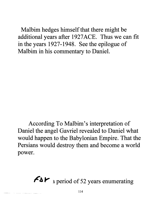Malbim hedges himself that there might be additional years after 1927 ACE. Thus we can fit in the years 1927-1948. See the epilogue of Malbim in his commentary to Daniel.

According To Malbim's interpretation of Daniel the angel Gavriel revealed to Daniel what would happen to the Babylonian Empire. That the Persians would destroy them and become a world power.

 $\left\{ A\right\}$  a period of 52 years enumerating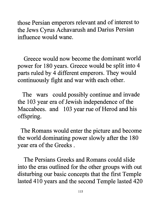those Persian emperors relevant and of interest to the Jews Cyrus Achavarush and Darius Persian influence would wane.

Greece would now become the dominant world power for 180 years. Greece would be split into 4 parts ruled by 4 different emperors. They would continuously fight and war with each other.

The wars could possibly continue and invade the 103 year era of Jewish independence of the Maccabees. and 103 year rue of Herod and his offspring.

The Romans would enter the picture and become the world dominating power slowly after the 180 year era of the Greeks .

The Persians Greeks and Romans could slide into the eras outlined for the other groups with out disturbing our basic concepts that the first Temple lasted 410 years and the second Temple lasted 420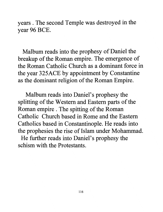years. The second Temple was destroyed in the year 96 BCE.

Malbum reads into the prophesy of Daniel the breakup of the Roman empire. The emergence of the Roman Catholic Church as a dominant force in the year 325ACE by appointment by Constantine as the dominant religion of the Roman Empire.

Malbum reads into Daniel's prophesy the splitting of the Western and Eastern parts of the Roman empire . The spitting of the Roman Catholic Church based in Rome and the Eastern Catholics based in Constantinople. He reads into the prophesies the rise of Islam under Mohammad. He further reads into Daniel's prophesy the schism with the Protestants.